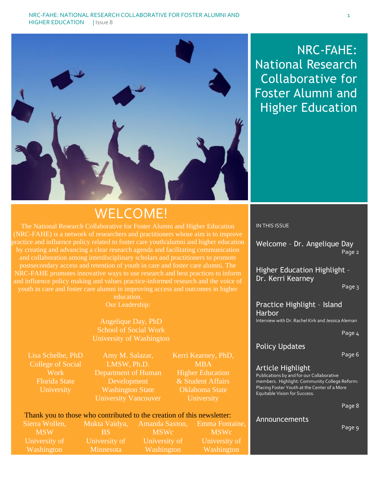

# NRC-FAHE: National Research Collaborative for Foster Alumni and Higher Education

# WELCOME!

The National Research Collaborative for Foster Alumni and Higher Education (NRC-FAHE) is a network of researchers and practitioners whose aim is to improve by creating and advancing a clear research agenda and facilitating communication and collaboration among interdisciplinary scholars and practitioners to promote postsecondary access and retention of youth in care and foster care alumni. The NRC-FAHE promotes innovative ways to use research and best practices to inform and influence policy making and values practice-informed research and the voice of youth in care and foster care alumni in improving access and outcomes in higher

education. Our Leadership:

Angelique Day, PhD School of Social Work University of Washington

Lisa Schelbe, PhD College of Social Work Florida State University

Amy M. Salazar, LMSW, Ph.D. Department of Human Development Washington State University Vancouver

Kerri Kearney, PhD, MBA Higher Education & Student Affairs Oklahoma State University

# Thank you to those who contributed to the creation of this newsletter:

| Sierra Wollen, | Mukta Vaidya, | Amanda Saxton, | Emma Fontaine,   |
|----------------|---------------|----------------|------------------|
| - MSW          | <b>ARSET</b>  | <b>MSWc</b>    | MSW <sub>c</sub> |
| University of  | University of | University of  | University of    |
| Washington     | Minnesota     | Washington     | Washington       |

#### IN THIS ISSUE

Welcome – Dr. Angelique Day Page 2

Higher Education Highlight – Dr. Kerri Kearney

#### Page 3

Practice Highlight – Island Harbor Interview with Dr. Rachel Kirk and Jessica Aleman

Page 4

#### Policy Updates

Page 6

#### Article Highlight

Publications by and for our Collaborative members. Highlight: Community College Reform: Placing Foster Youth at the Center of a More Equitable Vision for Success.

Page 8

### Announcements

Page 9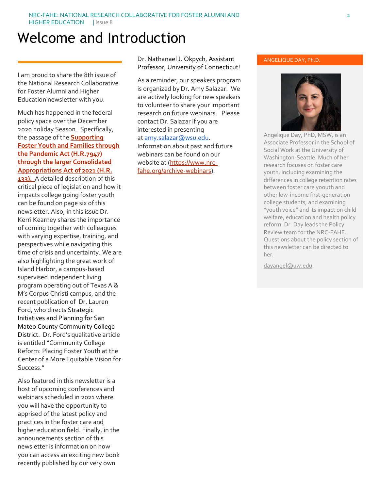# Welcome and Introduction

I am proud to share the 8th issue of the National Research Collaborative for Foster Alumni and Higher Education newsletter with you.

Much has happened in the federal policy space over the December 2020 holiday Season. Specifically, the passage of the **[Supporting](https://www.congress.gov/bill/116th-congress/house-bill/7947/text?q=%7B%22search%22%3A%5B%22foster+youth%22%5D%7D&r=13&s=4)  [Foster Youth and Families through](https://www.congress.gov/bill/116th-congress/house-bill/7947/text?q=%7B%22search%22%3A%5B%22foster+youth%22%5D%7D&r=13&s=4)  [the Pandemic Act \(H.R.7947\)](https://www.congress.gov/bill/116th-congress/house-bill/7947/text?q=%7B%22search%22%3A%5B%22foster+youth%22%5D%7D&r=13&s=4) through the larger Consolidated Appropriations Act of 2021 (H.R. 133).** A detailed description of this critical piece of legislation and how it impacts college going foster youth can be found on page six of this

newsletter. Also, in this issue Dr. Kerri Kearney shares the importance of coming together with colleagues with varying expertise, training, and perspectives while navigating this time of crisis and uncertainty. We are also highlighting the great work of Island Harbor, a campus-based supervised independent living program operating out of Texas A & M's Corpus Christi campus, and the recent publication of Dr. Lauren Ford, who directs Strategic Initiatives and Planning for San Mateo County Community College District. Dr. Ford's qualitative article is entitled "Community College Reform: Placing Foster Youth at the Center of a More Equitable Vision for Success."

Also featured in this newsletter is a host of upcoming conferences and webinars scheduled in 2021 where you will have the opportunity to apprised of the latest policy and practices in the foster care and higher education field. Finally, in the announcements section of this newsletter is information on how you can access an exciting new book recently published by our very own

Dr. Nathanael J. Okpych, Assistant Professor, University of Connecticut!

As a reminder, our speakers program is organized by Dr. Amy Salazar. We are actively looking for new speakers to volunteer to share your important research on future webinars. Please contact Dr. Salazar if you are interested in presenting at [amy.salazar@wsu.edu.](mailto:amy.salazar@wsu.edu) Information about past and future webinars can be found on our website at [\(https://www.nrc](https://www.nrc-fahe.org/archive-webinars)[fahe.org/archive-webinars\)](https://www.nrc-fahe.org/archive-webinars).

#### ANGELIQUE DAY, Ph.D.



Angelique Day, PhD, MSW, is an Associate Professor in the School of Social Work at the University of Washington-Seattle. Much of her research focuses on foster care youth, including examining the differences in college retention rates between foster care y0outh and other low-income first-generation college students, and examining "youth voice" and its impact on child welfare, education and health policy reform. Dr. Day leads the Policy Review team for the NRC-FAHE. Questions about the policy section of this newsletter can be directed to her.

[dayangel@uw.edu](mailto:dayangel@uw.edu)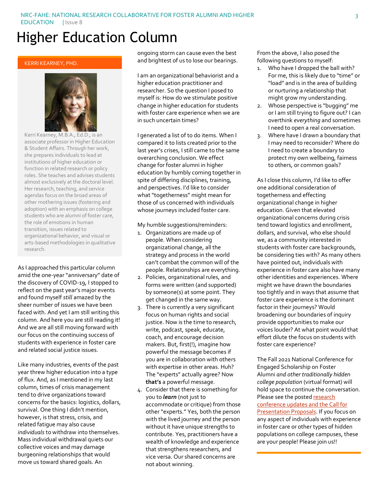# Higher Education Column

#### KERRI KEARNEY, PHD.



Kerri Kearney, M.B.A., Ed.D., is an associate professor in Higher Education & Student Affairs. Through her work, she prepares individuals to lead at institutions of higher education or function in related research or policy roles. She teaches and advises students almost exclusively at the doctoral level. Her research, teaching, and service agendas focus on the broad areas of other mothering issues (fostering and adoption) with an emphasis on college students who are alumni of foster care, the role of emotions in human transition, issues related to organizational behavior, and visual or arts-based methodologies in qualitative research.

As I approached this particular column amid the one-year "anniversary" date of the discovery of COVID-19, I stopped to reflect on the past year's major events and found myself *still* amazed by the sheer number of issues we have been faced with. And yet I am still writing this column. And here you are still reading it! And we are all still moving forward with our focus on the continuing success of students with experience in foster care and related social justice issues.

Like many industries, events of the past year threw higher education into a type of flux. And, as I mentioned in my last column, times of crisis management tend to drive organizations toward concerns for the basics: logistics, dollars, survival. One thing I didn't mention, however, is that stress, crisis, and related fatigue may also cause *individuals* to withdraw into themselves. Mass individual withdrawal quiets our collective voices and may damage burgeoning relationships that would move us toward shared goals. An

ongoing storm can cause even the best and brightest of us to lose our bearings.

I am an organizational behaviorist and a higher education practitioner and researcher. So the question I posed to myself is: How do we stimulate positive change in higher education for students with foster care experience when we are in such uncertain times?

I generated a list of to do items. When I compared it to lists created prior to the last year's crises, I still came to the same overarching conclusion. We effect change for foster alumni in higher education by humbly coming together in spite of differing disciplines, training, and perspectives. I'd like to consider what "togetherness" might mean for those of us concerned with individuals whose journeys included foster care.

My humble suggestions/reminders:

- 1. Organizations are made up of people. When considering organizational change, all the strategy and process in the world can't combat the common will of the people. Relationships are everything.
- 2. Policies, organizational rules, and forms were written (and supported) by someone(s) at some point. They get changed in the same way.
- 3. There is currently a very significant focus on human rights and social justice. Now is the time to research, write, podcast, speak, educate, coach, and encourage decision makers. But, first(!), imagine how powerful the message becomes if you are in collaboration with others with expertise in other areas. Huh? The "experts" actually agree? Now **that's** a powerful message.
- 4. Consider that there is something for you to *learn* (not just to accommodate or critique) from those other "experts." Yes, both the person with the lived journey and the person without it have unique strengths to contribute. Yes, practitioners have a wealth of knowledge and experience that strengthens researchers, and vice versa. Our shared concerns are not about winning.

From the above, I also posed the following questions to myself:

- 1. Who have I dropped the ball with? For me, this is likely due to "time" or "load" and is in the area of building or nurturing a relationship that might grow my understanding.
- 2. Whose perspective is "bugging" me or I am still trying to figure out? I can overthink *everything* and sometimes I need to open a real conversation.
- 3. Where have I drawn a boundary that I may need to reconsider? Where do I need to create a boundary to protect my own wellbeing, fairness to others, or common goals?

As I close this column, I'd like to offer one additional consideration of togetherness and effecting organizational change in higher education. Given that elevated organizational concerns during crisis tend toward logistics and enrollment, dollars, and survival, who else should we, as a community interested in students with foster care backgrounds, be considering ties with? As many others have pointed out, individuals with experience in foster care also have many other identities and experiences. Where might we have drawn the boundaries too tightly and in ways that assume that foster care experience is the dominant factor in their journeys? Would broadening our boundaries of inquiry provide opportunities to make our voices louder? At what point would that effort dilute the focus on students with foster care experience?

The Fall 2021 National Conference for Engaged Scholarship on Foster Alumni *and other traditionally hidden college population* (virtual format) will hold space to continue the conversation. Please see the posted research [conference updates and the Call for](https://education.okstate.edu/departments-programs/sefla/risforthursday/conference.html)  [Presentation Proposals.](https://education.okstate.edu/departments-programs/sefla/risforthursday/conference.html) If you focus on any aspect of individuals with experience in foster care or other types of hidden populations on college campuses, these are your people! Please join us!!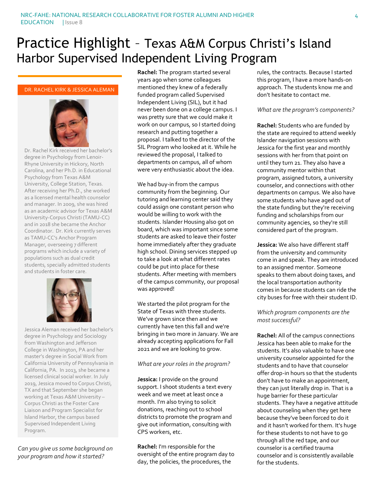# Practice Highlight – Texas A&M Corpus Christi's Island Harbor Supervised Independent Living Program

#### DR. RACHEL KIRK & JESSICA ALEMAN



Dr. Rachel Kirk received her bachelor's degree in Psychology from Lenoir-Rhyne University in Hickory, North Carolina, and her Ph.D. in Educational Psychology from Texas A&M University, College Station, Texas. After receiving her Ph.D., she worked as a licensed mental health counselor and manager. In 2009, she was hired as an academic advisor for Texas A&M University-Corpus Christi (TAMU-CC) and in 2018 she became the Anchor Coordinator. Dr. Kirk currently serves as TAMU-CC's Anchor Program Manager, overseeing 7 different programs which include a variety of populations such as dual credit students, specially admitted students and students in foster care.



Jessica Aleman received her bachelor's degree in Psychology and Sociology from Washington and Jefferson College in Washington, PA and her master's degree in Social Work from California University of Pennsylvania in California, PA. In 2013, she became a licensed clinical social worker. In July 2019, Jessica moved to Corpus Christi, TX and that September she began working at Texas A&M University – Corpus Christi as the Foster Care Liaison and Program Specialist for Island Harbor, the campus based Supervised Independent Living Program.

*Can you give us some background on your program and how it started?*

**Rachel:** The program started several years ago when some colleagues mentioned they knew of a federally funded program called Supervised Independent Living (SIL), but it had never been done on a college campus. I was pretty sure that we could make it work on our campus, so I started doing research and putting together a proposal. I talked to the director of the SIL Program who looked at it. While he reviewed the proposal, I talked to departments on campus, all of whom were very enthusiastic about the idea.

We had buy-in from the campus community from the beginning. Our tutoring and learning center said they could assign one constant person who would be willing to work with the students. Islander Housing also got on board, which was important since some students are asked to leave their foster home immediately after they graduate high school. Dining services stepped up to take a look at what different rates could be put into place for these students. After meeting with members of the campus community, our proposal was approved!

We started the pilot program for the State of Texas with three students. We've grown since then and we currently have ten this fall and we're bringing in two more in January. We are already accepting applications for Fall 2021 and we are looking to grow.

#### *What are your roles in the program?*

**Jessica:** I provide on the ground support. I shoot students a text every week and we meet at least once a month. I'm also trying to solicit donations, reaching out to school districts to promote the program and give out information, consulting with CPS workers, etc.

**Rachel:** I'm responsible for the oversight of the entire program day to day, the policies, the procedures, the

rules, the contracts. Because I started this program, I have a more hands-on approach. The students know me and don't hesitate to contact me.

#### *What are the program's components?*

**Rachel:** Students who are funded by the state are required to attend weekly Islander navigation sessions with Jessica for the first year and monthly sessions with her from that point on until they turn 21. They also have a community mentor within that program, assigned tutors, a university counselor, and connections with other departments on campus. We also have some students who have aged out of the state funding but they're receiving funding and scholarships from our community agencies, so they're still considered part of the program.

**Jessica:** We also have different staff from the university and community come in and speak. They are introduced to an assigned mentor. Someone speaks to them about doing taxes, and the local transportation authority comes in because students can ride the city buses for free with their student ID.

#### *Which program components are the most successful?*

**Rachel:** All of the campus connections Jessica has been able to make for the students. It's also valuable to have one university counselor appointed for the students and to have that counselor offer drop-in hours so that the students don't have to make an appointment, they can just literally drop in. That is a huge barrier for these particular students. They have a negative attitude about counseling when they get here because they've been forced to do it and it hasn't worked for them. It's huge for these students to not have to go through all the red tape, and our counselor is a certified trauma counselor and is consistently available for the students.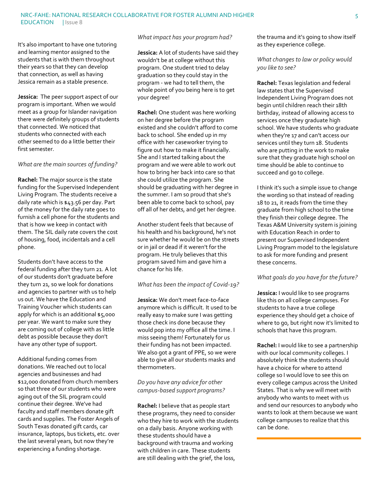It's also important to have one tutoring and learning mentor assigned to the students that is with them throughout their years so that they can develop that connection, as well as having Jessica remain as a stable presence.

**Jessica:** The peer support aspect of our program is important. When we would meet as a group for Islander navigation there were definitely groups of students that connected. We noticed that students who connected with each other seemed to do a little better their first semester.

### *What are the main sources of funding?*

**Rachel:** The major source is the state funding for the Supervised Independent Living Program. The students receive a daily rate which is \$43.56 per day. Part of the money for the daily rate goes to furnish a cell phone for the students and that is how we keep in contact with them. The SIL daily rate covers the cost of housing, food, incidentals and a cell phone.

Students don't have access to the federal funding after they turn 21. A lot of our students don't graduate before they turn 21, so we look for donations and agencies to partner with us to help us out. We have the Education and Training Voucher which students can apply for which is an additional \$5,000 per year. We want to make sure they are coming out of college with as little debt as possible because they don't have any other type of support.

Additional funding comes from donations. We reached out to local agencies and businesses and had \$12,000 donated from church members so that three of our students who were aging out of the SIL program could continue their degree. We've had faculty and staff members donate gift cards and supplies. The Foster Angels of South Texas donated gift cards, car insurance, laptops, bus tickets, etc. over the last several years, but now they're experiencing a funding shortage.

#### *What impact has your program had?*

**Jessica:** A lot of students have said they wouldn't be at college without this program. One student tried to delay graduation so they could stay in the program - we had to tell them, the whole point of you being here is to get your degree!

**Rachel:** One student was here working on her degree before the program existed and she couldn't afford to come back to school. She ended up in my office with her caseworker trying to figure out how to make it financially. She and I started talking about the program and we were able to work out how to bring her back into care so that she could utilize the program. She should be graduating with her degree in the summer. I am so proud that she's been able to come back to school, pay off all of her debts, and get her degree.

Another student feels that because of his health and his background, he's not sure whether he would be on the streets or in jail or dead if it weren't for the program. He truly believes that this program saved him and gave him a chance for his life.

### *What has been the impact of Covid-19?*

**Jessica:** We don't meet face-to-face anymore which is difficult. It used to be really easy to make sure I was getting those check ins done because they would pop into my office all the time. I miss seeing them! Fortunately for us their funding has not been impacted. We also got a grant of PPE, so we were able to give all our students masks and thermometers.

### *Do you have any advice for other campus-based support programs?*

**Rachel:** I believe that as people start these programs, they need to consider who they hire to work with the students on a daily basis. Anyone working with these students should have a background with trauma and working with children in care. These students are still dealing with the grief, the loss,

the trauma and it's going to show itself as they experience college.

#### *What changes to law or policy would you like to see?*

**Rachel:** Texas legislation and federal law states that the Supervised Independent Living Program does not begin until children reach their 18th birthday, instead of allowing access to services once they graduate high school. We have students who graduate when they're 17 and can't access our services until they turn 18. Students who are putting in the work to make sure that they graduate high school on time should be able to continue to succeed and go to college.

I think it's such a simple issue to change the wording so that instead of reading 18 to 21, it reads from the time they graduate from high school to the time they finish their college degree. The Texas A&M University system is joining with Education Reach in order to present our Supervised Independent Living Program model to the legislature to ask for more funding and present these concerns.

# *What goals do you have for the future?*

**Jessica:** I would like to see programs like this on all college campuses. For students to have a true college experience they should get a choice of where to go, but right now it's limited to schools that have this program.

**Rachel:** I would like to see a partnership with our local community colleges. I absolutely think the students should have a choice for where to attend college so I would love to see this on every college campus across the United States. That is why we will meet with anybody who wants to meet with us and send our resources to anybody who wants to look at them because we want college campuses to realize that this can be done.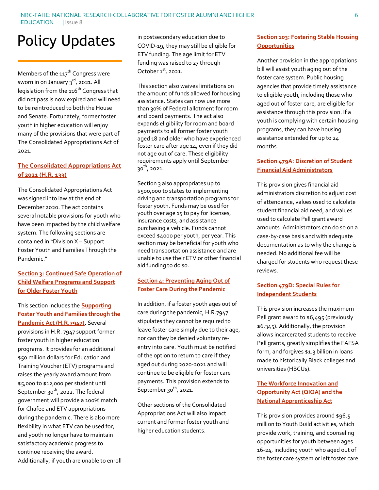# Policy Updates

Members of the  $117^{th}$  Congress were sworn in on January 3rd, 2021. All legislation from the 116<sup>th</sup> Congress that did not pass is now expired and will need to be reintroduced to both the House and Senate. Fortunately, former foster youth in higher education will enjoy many of the provisions that were part of The Consolidated Appropriations Act of 2021.

# **[The Consolidated Appropriations Act](https://rules.house.gov/sites/democrats.rules.house.gov/files/BILLS-116HR133SA-RCP-116-68.pdf)  [of 2021 \(H.R. 133\)](https://rules.house.gov/sites/democrats.rules.house.gov/files/BILLS-116HR133SA-RCP-116-68.pdf)**

The Consolidated Appropriations Act was signed into law at the end of December 2020. The act contains several notable provisions for youth who have been impacted by the child welfare system. The following sections are contained in "Division X – Support Foster Youth and Families Through the Pandemic."

# **Section 3: Continued Safe Operation of Child Welfare Programs and Support for Older Foster Youth**

This section includes the **[Supporting](https://www.congress.gov/bill/116th-congress/house-bill/7947/text?q=%7B%22search%22%3A%5B%22foster+youth%22%5D%7D&r=13&s=4)  [Foster Youth and Families through the](https://www.congress.gov/bill/116th-congress/house-bill/7947/text?q=%7B%22search%22%3A%5B%22foster+youth%22%5D%7D&r=13&s=4)  [Pandemic Act \(H.R.7947\)](https://www.congress.gov/bill/116th-congress/house-bill/7947/text?q=%7B%22search%22%3A%5B%22foster+youth%22%5D%7D&r=13&s=4).** Several provisions in H.R. 7947 support former foster youth in higher education programs. It provides for an additional \$50 million dollars for Education and Training Voucher (ETV) programs and raises the yearly award amount from \$5,000 to \$12,000 per student until September  $30^{th}$ , 2022. The federal government will provide a 100% match for Chafee and ETV appropriations during the pandemic. There is also more flexibility in what ETV can be used for, and youth no longer have to maintain satisfactory academic progress to continue receiving the award. Additionally, if youth are unable to enroll in postsecondary education due to COVID-19, they may still be eligible for ETV funding. The age limit for ETV funding was raised to 27 through October  $1<sup>st</sup>$ , 2021.

This section also waives limitations on the amount of funds allowed for housing assistance. States can now use more than 30% of Federal allotment for room and board payments. The act also expands eligibility for room and board payments to all former foster youth aged 18 and older who have experienced foster care after age 14, even if they did not age out of care. These eligibility requirements apply until September  $30^{th}$ , 2021.

Section 3 also appropriates up to \$500,000 to states to implementing driving and transportation programs for foster youth. Funds may be used for youth over age 15 to pay for licenses, insurance costs, and assistance purchasing a vehicle. Funds cannot exceed \$4000 per youth, per year. This section may be beneficial for youth who need transportation assistance and are unable to use their ETV or other financial aid funding to do so.

# **Section 4: Preventing Aging Out of Foster Care During the Pandemic**

In addition, if a foster youth ages out of care during the pandemic, H.R.7947 stipulates they cannot be required to leave foster care simply due to their age, nor can they be denied voluntary reentry into care. Youth must be notified of the option to return to care if they aged out during 2020-2021 and will continue to be eligible for foster care payments. This provision extends to September  $30^{th}$ , 2021.

Other sections of the Consolidated Appropriations Act will also impact current and former foster youth and higher education students.

# **Section 103: Fostering Stable Housing Opportunities**

Another provision in the appropriations bill will assist youth aging out of the foster care system. Public housing agencies that provide timely assistance to eligible youth, including those who aged out of foster care, are eligible for assistance through this provision. If a youth is complying with certain housing programs, they can have housing assistance extended for up to 24 months.

## **Section 479A: Discretion of Student Financial Aid Administrators**

This provision gives financial aid administrators discretion to adjust cost of attendance, values used to calculate student financial aid need, and values used to calculate Pell grant award amounts. Administrators can do so on a case-by-case basis and with adequate documentation as to why the change is needed. No additional fee will be charged for students who request these reviews.

# **Section 479D: Special Rules for Independent Students**

This provision increases the maximum Pell grant award to \$6,495 (previously \$6,345). Additionally, the provision allows incarcerated students to receive Pell grants, greatly simplifies the FAFSA form, and forgives \$1.3 billion in loans made to historically Black colleges and universities (HBCUs).

# **The Workforce Innovation and Opportunity Act (QIOA) and the National Apprenticeship Act**

This provision provides around \$96.5 million to Youth Build activities, which provide work, training, and counseling opportunities for youth between ages 16-24, including youth who aged out of the foster care system or left foster care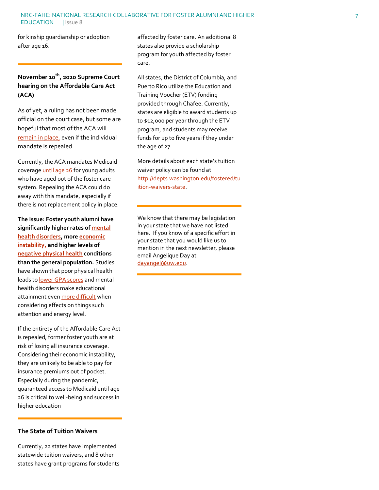for kinship guardianship or adoption after age 16.

# **November 10th, 2020 Supreme Court hearing on the Affordable Care Act (ACA)**

As of yet, a ruling has not been made official on the court case, but some are hopeful that most of the ACA will [remain in place,](https://www.aamc.org/news-insights/s-enough-supreme-court-appears-poised-resolve-validity-aca-and-move) even if the individual mandate is repealed.

Currently, the ACA mandates Medicaid coverage *until age 26* for young adults who have aged out of the foster care system. Repealing the ACA could do away with this mandate, especially if there is not replacement policy in place.

**The Issue: Foster youth alumni have significantly higher rates o[f mental](https://www.casey.org/media/AlumniStudies_NW_Report_FR.pdf)  [health disorders,](https://www.casey.org/media/AlumniStudies_NW_Report_FR.pdf) mor[e economic](https://www.casey.org/media/AlumniStudies_NW_Report_FR.pdf)  [instability,](https://www.casey.org/media/AlumniStudies_NW_Report_FR.pdf) and higher levels of [negative physical health](https://www.ncbi.nlm.nih.gov/pmc/articles/PMC6035089/) conditions than the general population.** Studies have shown that poor physical health leads t[o lower GPA scores](https://boynton.umn.edu/sites/boynton.umn.edu/files/2017-09/HealthAcademicPerformanceReport_2007.pdf) and mental health disorders make educational attainment eve[n more difficult](https://www.sprc.org/colleges-universities/consequences#:~:text=Mental%20health%20problems%20can%20affect%20a%20student) when considering effects on things such attention and energy level.

If the entirety of the Affordable Care Act is repealed, former foster youth are at risk of losing all insurance coverage. Considering their economic instability, they are unlikely to be able to pay for insurance premiums out of pocket. Especially during the pandemic, guaranteed access to Medicaid until age 26 is critical to well-being and success in higher education

### **The State of Tuition Waivers**

Currently, 22 states have implemented statewide tuition waivers, and 8 other states have grant programs for students affected by foster care. An additional 8 states also provide a scholarship program for youth affected by foster care.

All states, the District of Columbia, and Puerto Rico utilize the Education and Training Voucher (ETV) funding provided through Chafee. Currently, states are eligible to award students up to \$12,000 per year through the ETV program, and students may receive funds for up to five years if they under the age of 27.

More details about each state's tuition waiver policy can be found at [http://depts.washington.edu/fostered/tu](http://depts.washington.edu/fostered/tuition-waivers-state) [ition-waivers-state.](http://depts.washington.edu/fostered/tuition-waivers-state)

We know that there may be legislation in your state that we have not listed here. If you know of a specific effort in your state that you would like us to mention in the next newsletter, please email Angelique Day at [dayangel@uw.edu.](mailto:dayangel@uw.edu)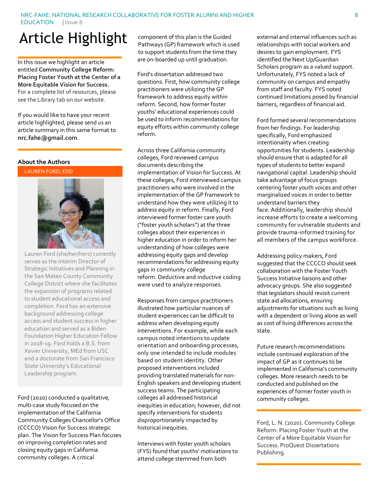# Article Highlight

In this issue we highlight an article entitled **Community College Reform: Placing Foster Youth at the Center of a More Equitable Vision for Success.** For a complete list of resources, please see the Library tab on our website.

If you would like to have your recent article highlighted, please send us an article summary in this same format to **nrc.fahe@gmail.com**.

# **About the Authors**

LAUREN FORD, EDD



Lauren Ford (she/her/hers) currently serves as the Interim Director of Strategic Initiatives and Planning in the San Mateo County Community College District where she facilitates the expansion of programs related to student educational access and completion. Ford has an extensive background addressing college access and student success in higher education and served as a Biden Foundation Higher Education Fellow in 2018-19. Ford holds a B.S. from Xavier University, MEd from USC and a doctorate from San Francisco State University's Educational Leadership program.

Ford (2020) conducted a qualitative, multi-case study focused on the implementation of the California Community Colleges Chancellor's Office (CCCCO) Vision for Success strategic plan. The Vision for Success Plan focuses on improving completion rates and closing equity gaps in California community colleges. A critical

component of this plan is the Guided Pathways (GP) framework which is used to support students from the time they are on-boarded up until graduation.

Ford's dissertation addressed two questions. First, how community college practitioners were utilizing the GP framework to address equity within reform. Second, how former foster youths' educational experiences could be used to inform recommendations for equity efforts within community college reform.

Across three California community colleges, Ford reviewed campus documents describing the implementation of Vision for Success. At these colleges, Ford interviewed campus practitioners who were involved in the implementation of the GP framework to understand how they were utilizing it to address equity in reform. Finally, Ford interviewed former foster care youth ("foster youth scholars") at the three colleges about their experiences in higher education in order to inform her understanding of how colleges were addressing equity gaps and develop recommendations for addressing equity gaps in community college reform. Deductive and inductive coding were used to analyze responses.

Responses from campus practitioners illustrated how particular nuances of student experiences can be difficult to address when developing equity interventions. For example, while each campus noted intentions to update orientation and onboarding processes, only one intended to include modules based on student identity. Other proposed interventions included providing translated materials for non-English speakers and developing student success teams. The participating colleges all addressed historical inequities in education; however, did not specify interventions for students disproportionately impacted by historical inequities.

Interviews with foster youth scholars (FYS) found that youths' motivations to attend college stemmed from both

external and internal influences such as relationships with social workers and desires to gain employment. FYS identified the Next Up/Guardian Scholars program as a valued support. Unfortunately, FYS noted a lack of community on campus and empathy from staff and faculty. FYS noted continued limitations posed by financial barriers, regardless of financial aid.

Ford formed several recommendations from her findings. For leadership specifically, Ford emphasized intentionality when creating opportunities for students. Leadership should ensure that is adapted for all types of students to better expand navigational capital. Leadership should take advantage of focus groups centering foster youth voices and other marginalized voices in order to better understand barriers they face. Additionally, leadership should increase efforts to create a welcoming community for vulnerable students and provide trauma-informed training for all members of the campus workforce.

Addressing policy makers, Ford suggested that the CCCCO should seek collaboration with the Foster Youth Success Initiative liaisons and other advocacy groups. She also suggested that legislators should revisit current state aid allocations, ensuring adjustments for situations such as living with a dependent or living alone as well as cost of living differences across the state.

Future research recommendations include continued exploration of the impact of GP as it continues to be implemented in California's community colleges. More research needs to be conducted and published on the experiences of former foster youth in community colleges.

Ford, L. N. (2020). Community College Reform: Placing Foster Youth at the Center of a More Equitable Vision for Success. ProQuest Dissertations Publishing.